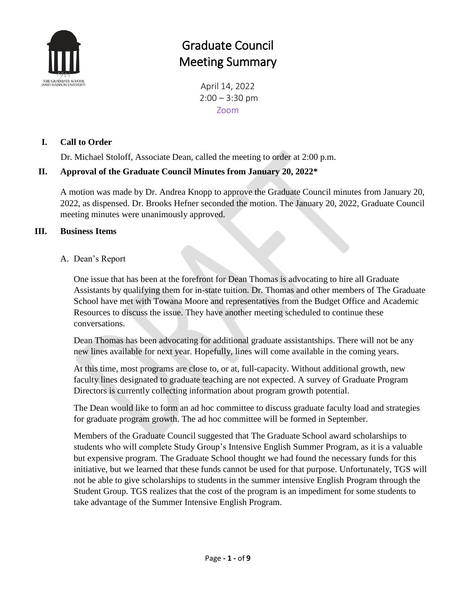

# Graduate Council Meeting Summary

April 14, 2022  $2:00 - 3:30$  pm Zoom

### **I. Call to Order**

Dr. Michael Stoloff, Associate Dean, called the meeting to order at 2:00 p.m.

### **II. Approval of the Graduate Council Minutes from January 20, 2022\***

A motion was made by Dr. Andrea Knopp to approve the Graduate Council minutes from January 20, 2022, as dispensed. Dr. Brooks Hefner seconded the motion. The January 20, 2022, Graduate Council meeting minutes were unanimously approved.

### **III. Business Items**

#### A. Dean's Report

One issue that has been at the forefront for Dean Thomas is advocating to hire all Graduate Assistants by qualifying them for in-state tuition. Dr. Thomas and other members of The Graduate School have met with Towana Moore and representatives from the Budget Office and Academic Resources to discuss the issue. They have another meeting scheduled to continue these conversations.

Dean Thomas has been advocating for additional graduate assistantships. There will not be any new lines available for next year. Hopefully, lines will come available in the coming years.

At this time, most programs are close to, or at, full-capacity. Without additional growth, new faculty lines designated to graduate teaching are not expected. A survey of Graduate Program Directors is currently collecting information about program growth potential.

The Dean would like to form an ad hoc committee to discuss graduate faculty load and strategies for graduate program growth. The ad hoc committee will be formed in September.

Members of the Graduate Council suggested that The Graduate School award scholarships to students who will complete Study Group's Intensive English Summer Program, as it is a valuable but expensive program. The Graduate School thought we had found the necessary funds for this initiative, but we learned that these funds cannot be used for that purpose. Unfortunately, TGS will not be able to give scholarships to students in the summer intensive English Program through the Student Group. TGS realizes that the cost of the program is an impediment for some students to take advantage of the Summer Intensive English Program.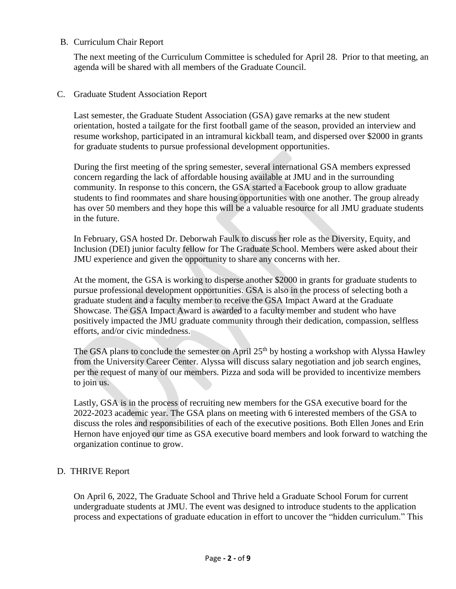#### B. Curriculum Chair Report

The next meeting of the Curriculum Committee is scheduled for April 28. Prior to that meeting, an agenda will be shared with all members of the Graduate Council.

#### C. Graduate Student Association Report

Last semester, the Graduate Student Association (GSA) gave remarks at the new student orientation, hosted a tailgate for the first football game of the season, provided an interview and resume workshop, participated in an intramural kickball team, and dispersed over \$2000 in grants for graduate students to pursue professional development opportunities.

During the first meeting of the spring semester, several international GSA members expressed concern regarding the lack of affordable housing available at JMU and in the surrounding community. In response to this concern, the GSA started a Facebook group to allow graduate students to find roommates and share housing opportunities with one another. The group already has over 50 members and they hope this will be a valuable resource for all JMU graduate students in the future.

In February, GSA hosted Dr. Deborwah Faulk to discuss her role as the Diversity, Equity, and Inclusion (DEI) junior faculty fellow for The Graduate School. Members were asked about their JMU experience and given the opportunity to share any concerns with her.

At the moment, the GSA is working to disperse another \$2000 in grants for graduate students to pursue professional development opportunities. GSA is also in the process of selecting both a graduate student and a faculty member to receive the GSA Impact Award at the Graduate Showcase. The GSA Impact Award is awarded to a faculty member and student who have positively impacted the JMU graduate community through their dedication, compassion, selfless efforts, and/or civic mindedness.

The GSA plans to conclude the semester on April  $25<sup>th</sup>$  by hosting a workshop with Alyssa Hawley from the University Career Center. Alyssa will discuss salary negotiation and job search engines, per the request of many of our members. Pizza and soda will be provided to incentivize members to join us.

Lastly, GSA is in the process of recruiting new members for the GSA executive board for the 2022-2023 academic year. The GSA plans on meeting with 6 interested members of the GSA to discuss the roles and responsibilities of each of the executive positions. Both Ellen Jones and Erin Hernon have enjoyed our time as GSA executive board members and look forward to watching the organization continue to grow.

#### D. THRIVE Report

On April 6, 2022, The Graduate School and Thrive held a Graduate School Forum for current undergraduate students at JMU. The event was designed to introduce students to the application process and expectations of graduate education in effort to uncover the "hidden curriculum." This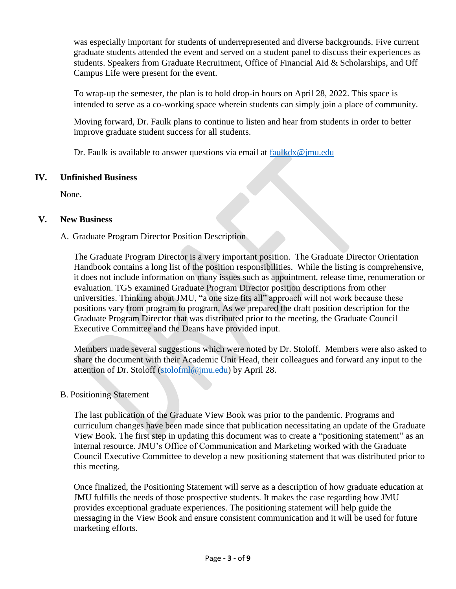was especially important for students of underrepresented and diverse backgrounds. Five current graduate students attended the event and served on a student panel to discuss their experiences as students. Speakers from Graduate Recruitment, Office of Financial Aid & Scholarships, and Off Campus Life were present for the event.

To wrap-up the semester, the plan is to hold drop-in hours on April 28, 2022. This space is intended to serve as a co-working space wherein students can simply join a place of community.

Moving forward, Dr. Faulk plans to continue to listen and hear from students in order to better improve graduate student success for all students.

Dr. Faulk is available to answer questions via email at [faulkdx@jmu.edu](mailto:faulkdx@jmu.edu)

### **IV. Unfinished Business**

None.

### **V. New Business**

### A. Graduate Program Director Position Description

The Graduate Program Director is a very important position. The Graduate Director Orientation Handbook contains a long list of the position responsibilities. While the listing is comprehensive, it does not include information on many issues such as appointment, release time, renumeration or evaluation. TGS examined Graduate Program Director position descriptions from other universities. Thinking about JMU, "a one size fits all" approach will not work because these positions vary from program to program. As we prepared the draft position description for the Graduate Program Director that was distributed prior to the meeting, the Graduate Council Executive Committee and the Deans have provided input.

Members made several suggestions which were noted by Dr. Stoloff. Members were also asked to share the document with their Academic Unit Head, their colleagues and forward any input to the attention of Dr. Stoloff [\(stolofml@jmu.edu\)](mailto:stolofml@jmu.edu) by April 28.

### B. Positioning Statement

The last publication of the Graduate View Book was prior to the pandemic. Programs and curriculum changes have been made since that publication necessitating an update of the Graduate View Book. The first step in updating this document was to create a "positioning statement" as an internal resource. JMU's Office of Communication and Marketing worked with the Graduate Council Executive Committee to develop a new positioning statement that was distributed prior to this meeting.

Once finalized, the Positioning Statement will serve as a description of how graduate education at JMU fulfills the needs of those prospective students. It makes the case regarding how JMU provides exceptional graduate experiences. The positioning statement will help guide the messaging in the View Book and ensure consistent communication and it will be used for future marketing efforts.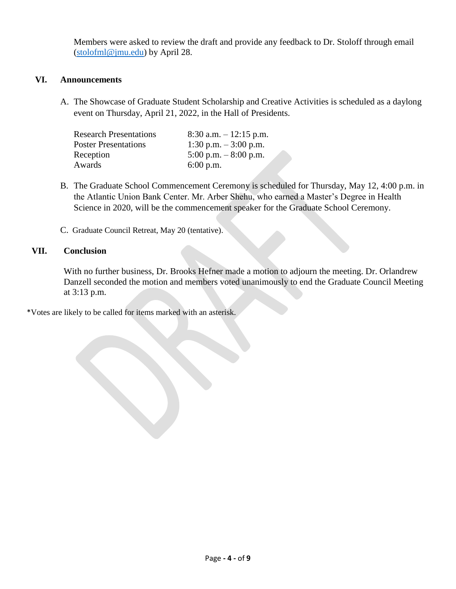Members were asked to review the draft and provide any feedback to Dr. Stoloff through email [\(stolofml@jmu.edu\)](mailto:stolofml@jmu.edu) by April 28.

#### **VI. Announcements**

A. The Showcase of Graduate Student Scholarship and Creative Activities is scheduled as a daylong event on Thursday, April 21, 2022, in the Hall of Presidents.

| <b>Research Presentations</b> | 8:30 a.m. $-12:15$ p.m. |
|-------------------------------|-------------------------|
| <b>Poster Presentations</b>   | 1:30 p.m. $-3:00$ p.m.  |
| Reception                     | 5:00 p.m. $-8:00$ p.m.  |
| Awards                        | $6:00$ p.m.             |

- B. The Graduate School Commencement Ceremony is scheduled for Thursday, May 12, 4:00 p.m. in the Atlantic Union Bank Center. Mr. Arber Shehu, who earned a Master's Degree in Health Science in 2020, will be the commencement speaker for the Graduate School Ceremony.
- C. Graduate Council Retreat, May 20 (tentative).

#### **VII. Conclusion**

With no further business, Dr. Brooks Hefner made a motion to adjourn the meeting. Dr. Orlandrew Danzell seconded the motion and members voted unanimously to end the Graduate Council Meeting at 3:13 p.m.

\*Votes are likely to be called for items marked with an asterisk.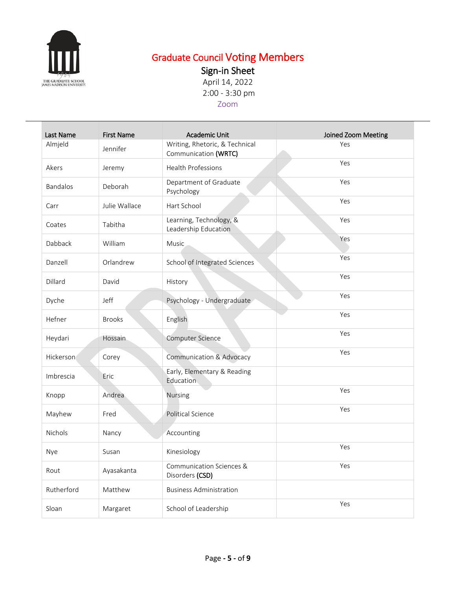

# Graduate Council Voting Members

Sign-in Sheet

April 14, 2022 2:00 - 3:30 pm

## Zoom

| Last Name  | <b>First Name</b> | Academic Unit                                          | Joined Zoom Meeting |
|------------|-------------------|--------------------------------------------------------|---------------------|
| Almjeld    | Jennifer          | Writing, Rhetoric, & Technical<br>Communication (WRTC) | Yes                 |
| Akers      | Jeremy            | Health Professions                                     | Yes                 |
| Bandalos   | Deborah           | Department of Graduate<br>Psychology                   | Yes                 |
| Carr       | Julie Wallace     | Hart School                                            | Yes                 |
| Coates     | Tabitha           | Learning, Technology, &<br>Leadership Education        | Yes                 |
| Dabback    | William           | Music                                                  | Yes                 |
| Danzell    | Orlandrew         | School of Integrated Sciences                          | Yes                 |
| Dillard    | David             | History                                                | Yes                 |
| Dyche      | Jeff              | Psychology - Undergraduate                             | Yes                 |
| Hefner     | <b>Brooks</b>     | English                                                | Yes                 |
| Heydari    | Hossain           | Computer Science                                       | Yes                 |
| Hickerson  | Corey             | Communication & Advocacy                               | Yes                 |
| Imbrescia  | Eric              | Early, Elementary & Reading<br>Education               |                     |
| Knopp      | Andrea            | <b>Nursing</b>                                         | Yes                 |
| Mayhew     | Fred              | Political Science                                      | Yes                 |
| Nichols    | Nancy             | Accounting                                             |                     |
| Nye        | Susan             | Kinesiology                                            | Yes                 |
| Rout       | Ayasakanta        | Communication Sciences &<br>Disorders (CSD)            | Yes                 |
| Rutherford | Matthew           | <b>Business Administration</b>                         |                     |
| Sloan      | Margaret          | School of Leadership                                   | Yes                 |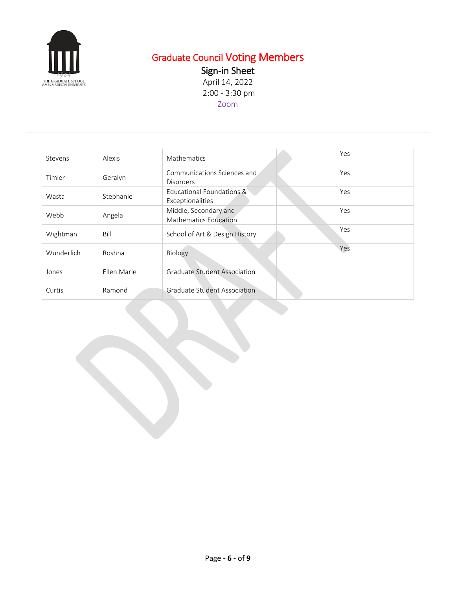

# Graduate Council Voting Members

Sign-in Sheet

April 14, 2022 2:00 - 3:30 pm Zoom

| Stevens    | Alexis      | Mathematics                                           | Yes |
|------------|-------------|-------------------------------------------------------|-----|
| Timler     | Geralyn     | Communications Sciences and<br><b>Disorders</b>       | Yes |
| Wasta      | Stephanie   | Educational Foundations &<br>Exceptionalities         | Yes |
| Webb       | Angela      | Middle, Secondary and<br><b>Mathematics Education</b> | Yes |
| Wightman   | Bill        | School of Art & Design History                        | Yes |
| Wunderlich | Roshna      | Biology                                               | Yes |
| Jones      | Ellen Marie | <b>Graduate Student Association</b>                   |     |
| Curtis     | Ramond      | <b>Graduate Student Association</b>                   |     |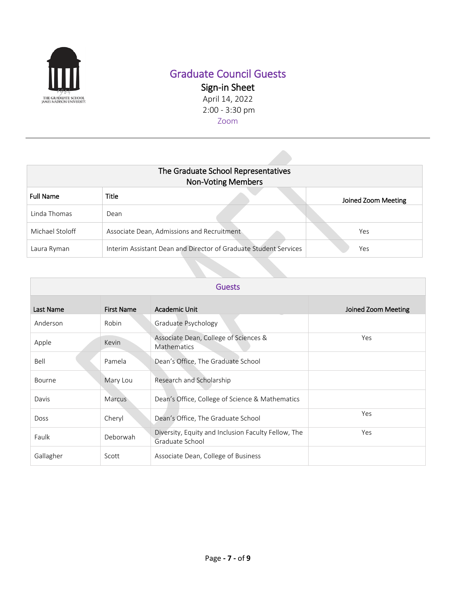

# Graduate Council Guests

Sign-in Sheet April 14, 2022 2:00 - 3:30 pm Zoom

| The Graduate School Representatives<br><b>Non-Voting Members</b> |                                                                  |                     |
|------------------------------------------------------------------|------------------------------------------------------------------|---------------------|
| <b>Full Name</b>                                                 | <b>Title</b>                                                     | Joined Zoom Meeting |
| Linda Thomas                                                     | Dean                                                             |                     |
| Michael Stoloff                                                  | Associate Dean, Admissions and Recruitment                       | Yes                 |
| Laura Ryman                                                      | Interim Assistant Dean and Director of Graduate Student Services | Yes                 |

| <b>Guests</b> |                   |                                                                        |                     |
|---------------|-------------------|------------------------------------------------------------------------|---------------------|
| Last Name     | <b>First Name</b> | Academic Unit                                                          | Joined Zoom Meeting |
| Anderson      | Robin             | Graduate Psychology                                                    |                     |
| Apple         | Kevin             | Associate Dean, College of Sciences &<br><b>Mathematics</b>            | Yes                 |
| Bell          | Pamela            | Dean's Office, The Graduate School                                     |                     |
| Bourne        | Mary Lou          | Research and Scholarship                                               |                     |
| Davis         | <b>Marcus</b>     | Dean's Office, College of Science & Mathematics                        |                     |
| <b>Doss</b>   | Cheryl            | Dean's Office, The Graduate School                                     | Yes                 |
| Faulk         | Deborwah          | Diversity, Equity and Inclusion Faculty Fellow, The<br>Graduate School | Yes                 |
| Gallagher     | Scott             | Associate Dean, College of Business                                    |                     |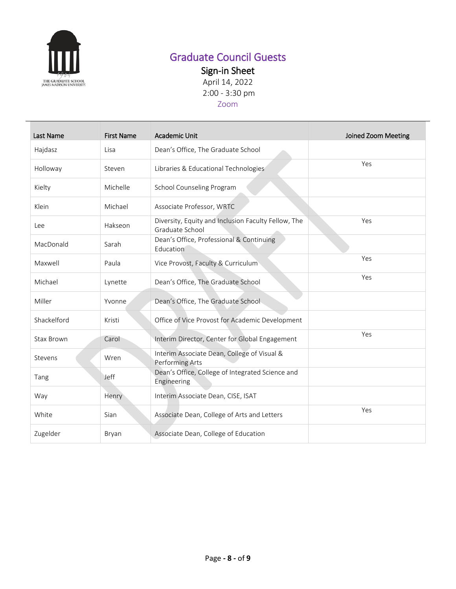

# Graduate Council Guests

Sign-in Sheet

April 14, 2022 2:00 - 3:30 pm

## Zoom

| Last Name         | <b>First Name</b> | <b>Academic Unit</b>                                                   | Joined Zoom Meeting |
|-------------------|-------------------|------------------------------------------------------------------------|---------------------|
| Hajdasz           | Lisa              | Dean's Office, The Graduate School                                     |                     |
| Holloway          | Steven            | Libraries & Educational Technologies                                   | Yes                 |
| Kielty            | Michelle          | School Counseling Program                                              |                     |
| Klein             | Michael           | Associate Professor, WRTC                                              |                     |
| Lee               | Hakseon           | Diversity, Equity and Inclusion Faculty Fellow, The<br>Graduate School | Yes                 |
| MacDonald         | Sarah             | Dean's Office, Professional & Continuing<br>Education                  |                     |
| Maxwell           | Paula             | Vice Provost, Faculty & Curriculum                                     | Yes                 |
| Michael           | Lynette           | Dean's Office, The Graduate School                                     | Yes                 |
| Miller            | Yvonne            | Dean's Office, The Graduate School                                     |                     |
| Shackelford       | Kristi            | Office of Vice Provost for Academic Development                        |                     |
| <b>Stax Brown</b> | Carol             | Interim Director, Center for Global Engagement                         | Yes                 |
| Stevens           | Wren              | Interim Associate Dean, College of Visual &<br>Performing Arts         |                     |
| Tang              | Jeff              | Dean's Office, College of Integrated Science and<br>Engineering        |                     |
| Way               | Henry             | Interim Associate Dean, CISE, ISAT                                     |                     |
| White             | Sian              | Associate Dean, College of Arts and Letters                            | Yes                 |
| Zugelder          | Bryan             | Associate Dean, College of Education                                   |                     |